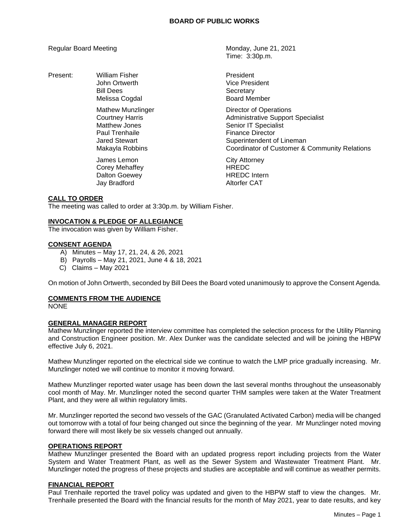Present: William Fisher **President** President Bill Dees Secretary

> Matthew Jones **Senior IT** Specialist Paul Trenhaile **Finance Director**

James Lemon City Attorney Corey Mehaffey **HREDC** Dalton Goewey **Acker Engles** HREDC Intern<br>Mark Bradford **Markow Communist CAT** Jay Bradford

Regular Board Meeting Monday, June 21, 2021 Time: 3:30p.m.

> John Ortwerth **Vice President** Melissa Cogdal **Board Member**

Mathew Munzlinger The Controller Contractor of Operations<br>Courtney Harris Court Court Court Administrative Support Administrative Support Specialist Jared Stewart **Superintendent of Lineman** Makayla Robbins Coordinator of Customer & Community Relations

## **CALL TO ORDER**

The meeting was called to order at 3:30p.m. by William Fisher.

# **INVOCATION & PLEDGE OF ALLEGIANCE**

The invocation was given by William Fisher.

## **CONSENT AGENDA**

- A) Minutes May 17, 21, 24, & 26, 2021
- B) Payrolls May 21, 2021, June 4 & 18, 2021
- C) Claims May 2021

On motion of John Ortwerth, seconded by Bill Dees the Board voted unanimously to approve the Consent Agenda.

## **COMMENTS FROM THE AUDIENCE**

NONE

## **GENERAL MANAGER REPORT**

Mathew Munzlinger reported the interview committee has completed the selection process for the Utility Planning and Construction Engineer position. Mr. Alex Dunker was the candidate selected and will be joining the HBPW effective July 6, 2021.

Mathew Munzlinger reported on the electrical side we continue to watch the LMP price gradually increasing. Mr. Munzlinger noted we will continue to monitor it moving forward.

Mathew Munzlinger reported water usage has been down the last several months throughout the unseasonably cool month of May. Mr. Munzlinger noted the second quarter THM samples were taken at the Water Treatment Plant, and they were all within regulatory limits.

Mr. Munzlinger reported the second two vessels of the GAC (Granulated Activated Carbon) media will be changed out tomorrow with a total of four being changed out since the beginning of the year. Mr Munzlinger noted moving forward there will most likely be six vessels changed out annually.

#### **OPERATIONS REPORT**

Mathew Munzlinger presented the Board with an updated progress report including projects from the Water System and Water Treatment Plant, as well as the Sewer System and Wastewater Treatment Plant. Mr. Munzlinger noted the progress of these projects and studies are acceptable and will continue as weather permits.

#### **FINANCIAL REPORT**

Paul Trenhaile reported the travel policy was updated and given to the HBPW staff to view the changes. Mr. Trenhaile presented the Board with the financial results for the month of May 2021, year to date results, and key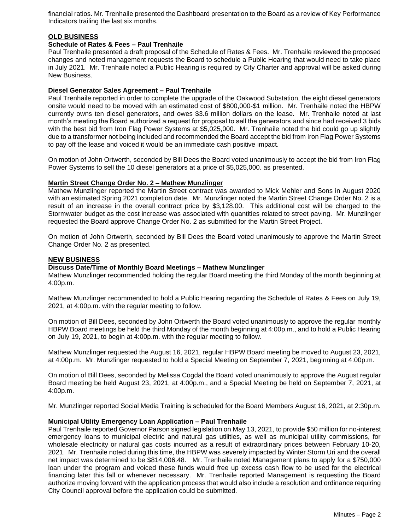financial ratios. Mr. Trenhaile presented the Dashboard presentation to the Board as a review of Key Performance Indicators trailing the last six months.

# **OLD BUSINESS**

### **Schedule of Rates & Fees – Paul Trenhaile**

Paul Trenhaile presented a draft proposal of the Schedule of Rates & Fees. Mr. Trenhaile reviewed the proposed changes and noted management requests the Board to schedule a Public Hearing that would need to take place in July 2021. Mr. Trenhaile noted a Public Hearing is required by City Charter and approval will be asked during New Business.

#### **Diesel Generator Sales Agreement – Paul Trenhaile**

Paul Trenhaile reported in order to complete the upgrade of the Oakwood Substation, the eight diesel generators onsite would need to be moved with an estimated cost of \$800,000-\$1 million. Mr. Trenhaile noted the HBPW currently owns ten diesel generators, and owes \$3.6 million dollars on the lease. Mr. Trenhaile noted at last month's meeting the Board authorized a request for proposal to sell the generators and since had received 3 bids with the best bid from Iron Flag Power Systems at \$5,025,000. Mr. Trenhaile noted the bid could go up slightly due to a transformer not being included and recommended the Board accept the bid from Iron Flag Power Systems to pay off the lease and voiced it would be an immediate cash positive impact.

On motion of John Ortwerth, seconded by Bill Dees the Board voted unanimously to accept the bid from Iron Flag Power Systems to sell the 10 diesel generators at a price of \$5,025,000. as presented.

#### **Martin Street Change Order No. 2 – Mathew Munzlinger**

Mathew Munzlinger reported the Martin Street contract was awarded to Mick Mehler and Sons in August 2020 with an estimated Spring 2021 completion date. Mr. Munzlinger noted the Martin Street Change Order No. 2 is a result of an increase in the overall contract price by \$3,128.00. This additional cost will be charged to the Stormwater budget as the cost increase was associated with quantities related to street paving. Mr. Munzlinger requested the Board approve Change Order No. 2 as submitted for the Martin Street Project.

On motion of John Ortwerth, seconded by Bill Dees the Board voted unanimously to approve the Martin Street Change Order No. 2 as presented.

#### **NEW BUSINESS**

#### **Discuss Date/Time of Monthly Board Meetings – Mathew Munzlinger**

Mathew Munzlinger recommended holding the regular Board meeting the third Monday of the month beginning at 4:00p.m.

Mathew Munzlinger recommended to hold a Public Hearing regarding the Schedule of Rates & Fees on July 19, 2021, at 4:00p.m. with the regular meeting to follow.

On motion of Bill Dees, seconded by John Ortwerth the Board voted unanimously to approve the regular monthly HBPW Board meetings be held the third Monday of the month beginning at 4:00p.m., and to hold a Public Hearing on July 19, 2021, to begin at 4:00p.m. with the regular meeting to follow.

Mathew Munzlinger requested the August 16, 2021, regular HBPW Board meeting be moved to August 23, 2021, at 4:00p.m. Mr. Munzlinger requested to hold a Special Meeting on September 7, 2021, beginning at 4:00p.m.

On motion of Bill Dees, seconded by Melissa Cogdal the Board voted unanimously to approve the August regular Board meeting be held August 23, 2021, at 4:00p.m., and a Special Meeting be held on September 7, 2021, at 4:00p.m.

Mr. Munzlinger reported Social Media Training is scheduled for the Board Members August 16, 2021, at 2:30p.m.

## **Municipal Utility Emergency Loan Application – Paul Trenhaile**

Paul Trenhaile reported Governor Parson signed legislation on May 13, 2021, to provide \$50 million for no-interest emergency loans to municipal electric and natural gas utilities, as well as municipal utility commissions, for wholesale electricity or natural gas costs incurred as a result of extraordinary prices between February 10-20, 2021. Mr. Trenhaile noted during this time, the HBPW was severely impacted by Winter Storm Uri and the overall net impact was determined to be \$814,006.48. Mr. Trenhaile noted Management plans to apply for a \$750,000 loan under the program and voiced these funds would free up excess cash flow to be used for the electrical financing later this fall or whenever necessary. Mr. Trenhaile reported Management is requesting the Board authorize moving forward with the application process that would also include a resolution and ordinance requiring City Council approval before the application could be submitted.